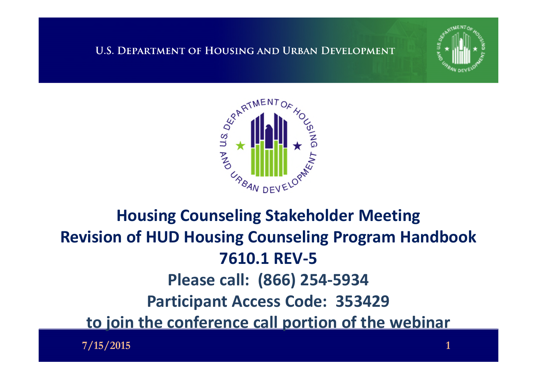



### **Housing Counseling Stakeholder Meeting Revision of HUD Housing Counseling Program Handbook 7610.1 REV-5 Please call: (866) 254-5934 Participant Access Code: 353429 to join the conference call portion of the webinar**

**7/15/2015 1**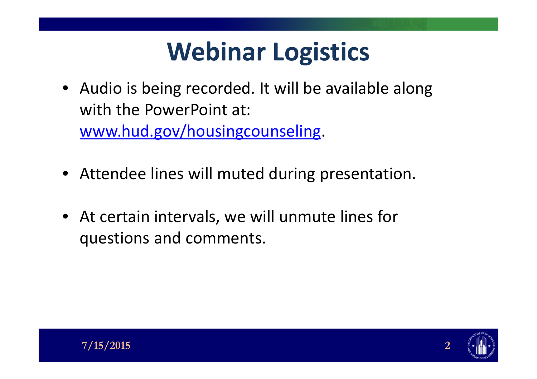## **Webinar Logistics**

- Audio is being recorded. It will be available along with the PowerPoint at: [www.hud.gov/housingcounseling.](http://www.hud.gov/housingcounseling)
- Attendee lines will muted during presentation.
- At certain intervals, we will unmute lines for questions and comments.

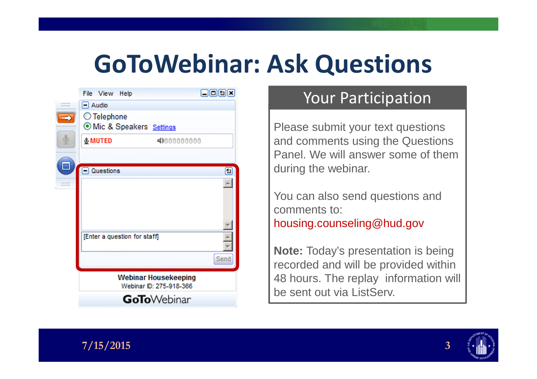## **GoToWebinar: Ask Questions**

|                  | File View Help                                         | 日回回区 |
|------------------|--------------------------------------------------------|------|
| ------<br>------ | $\Box$ Audio                                           |      |
|                  | ◯ Telephone<br>O Mic & Speakers Settings               |      |
|                  | <b>&amp;MUTED</b><br>4000000000                        |      |
|                  | <b>Questions</b>                                       | ⊡    |
| <br>             |                                                        |      |
|                  | [Enter a question for staff]                           |      |
|                  |                                                        | Send |
|                  | <b>Webinar Housekeeping</b><br>Webinar ID: 275-918-366 |      |
|                  | <b>GoTo</b> Webinar                                    |      |

#### Your Participation

Please submit your text questions and comments using the Questions Panel. We will answer some of them during the webinar.

You can also send questions and comments to: housing.counseling@hud.gov

**Note:** Today's presentation is being recorded and will be provided within 48 hours. The replay information will be sent out via ListServ.



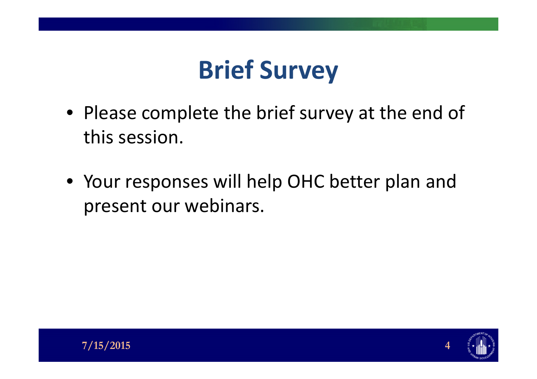## **Brief Survey**

- Please complete the brief survey at the end of this session.
- Your responses will help OHC better plan and present our webinars.

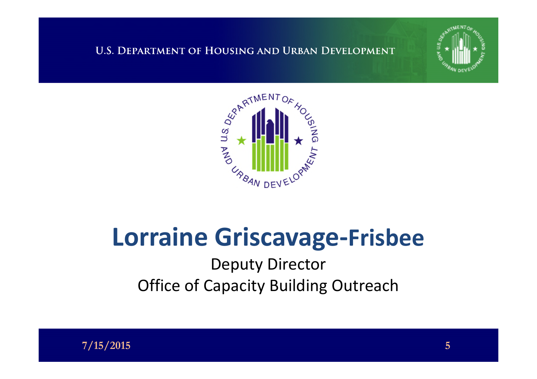



### **Lorraine Griscavage-Frisbee**

Deputy Director **Office of Capacity Building Outreach** 

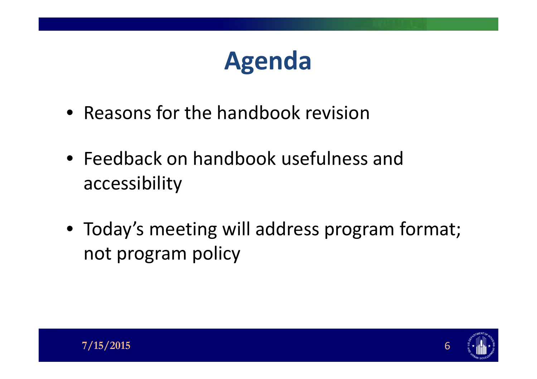## **Agenda**

- Reasons for the handbook revision
- Feedback on handbook usefulness and accessibility
- Today's meeting will address program format; not program policy

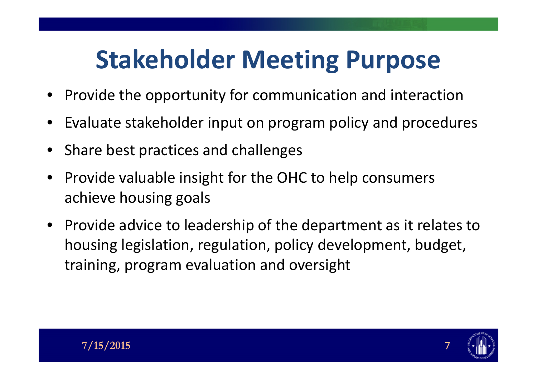## **Stakeholder Meeting Purpose**

- Provide the opportunity for communication and interaction
- Evaluate stakeholder input on program policy and procedures
- Share best practices and challenges
- Provide valuable insight for the OHC to help consumers achieve housing goals
- Provide advice to leadership of the department as it relates to housing legislation, regulation, policy development, budget, training, program evaluation and oversight

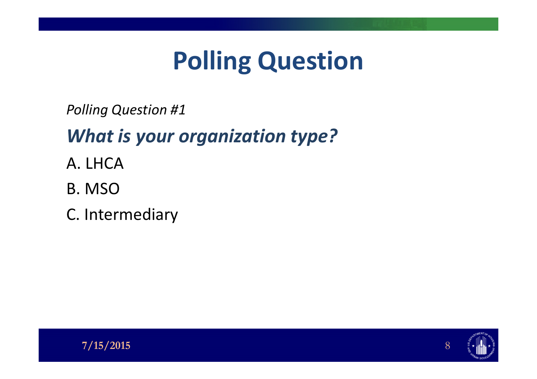## **Polling Question**

*Polling Question #1*

### *What is your organization type?*

- A. LHCA
- B. MSO
- C. Intermediary



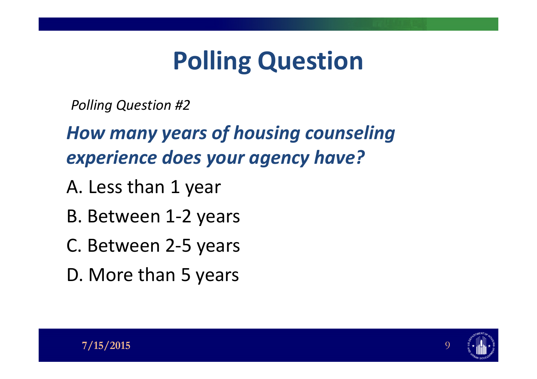## **Polling Question**

*Polling Question #2*

*How many years of housing counseling experience does your agency have?*

- A. Less than 1 year
- B. Between 1-2 years
- C. Between 2-5 years
- D. More than 5 years

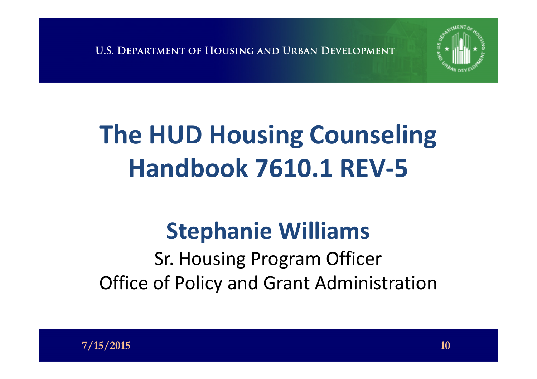

## **The HUD Housing Counseling Handbook 7610.1 REV-5**

### **Stephanie Williams**

Sr. Housing Program Officer Office of Policy and Grant Administration

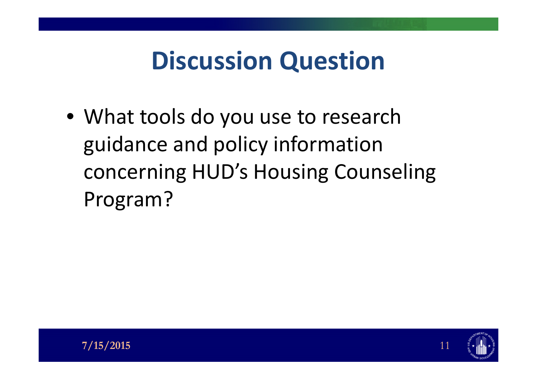## **Discussion Question**

• What tools do you use to research guidance and policy information concerning HUD's Housing Counseling Program?

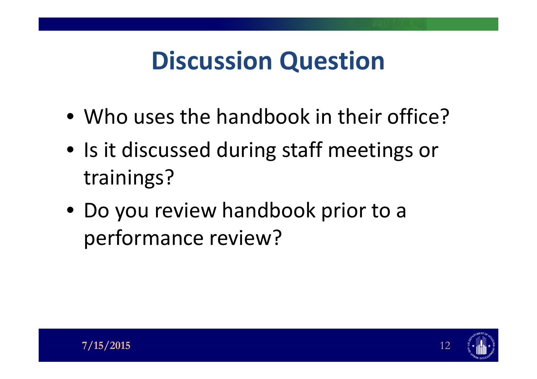## **Discussion Question**

- Who uses the handbook in their office?
- Is it discussed during staff meetings or trainings?
- Do you review handbook prior to a performance review?

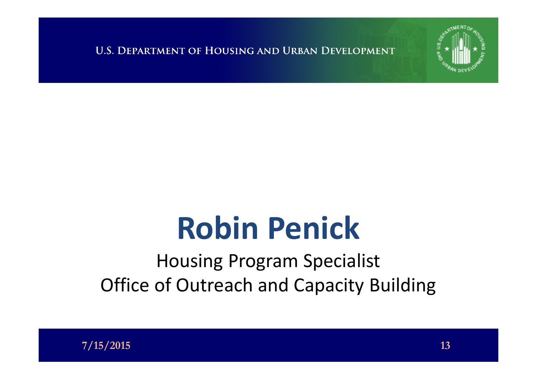

# **Robin Penick**

### Housing Program Specialist Office of Outreach and Capacity Building

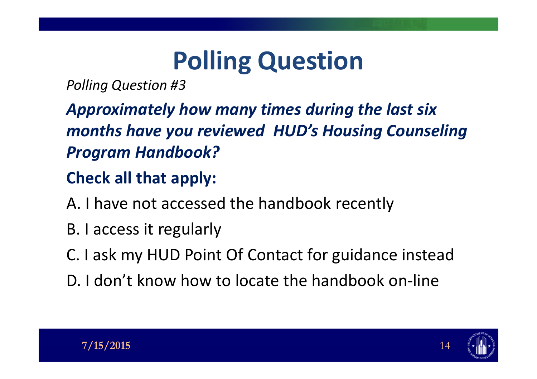## **Polling Question**

*Polling Question #3*

*Approximately how many times during the last six months have you reviewed HUD's Housing Counseling Program Handbook?*

#### **Check all that apply:**

A. I have not accessed the handbook recently

- B. I access it regularly
- C. I ask my HUD Point Of Contact for guidance instead
- D. I don't know how to locate the handbook on-line

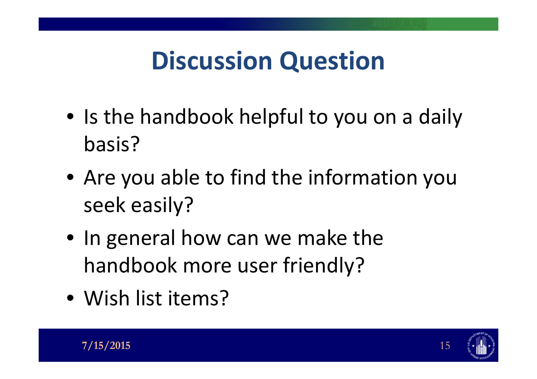## **Discussion Question**

- Is the handbook helpful to you on a daily basis?
- Are you able to find the information you seek easily?
- In general how can we make the handbook more user friendly?
- Wish list items?



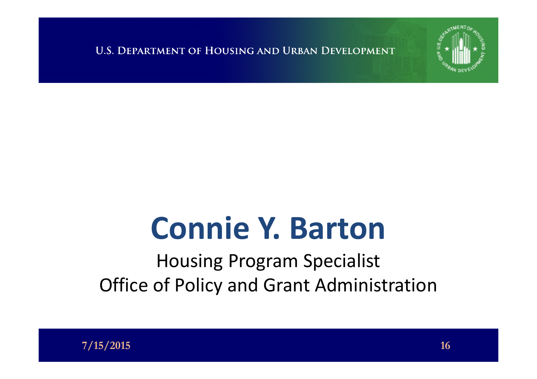

# **Connie Y. Barton**

Housing Program Specialist Office of Policy and Grant Administration

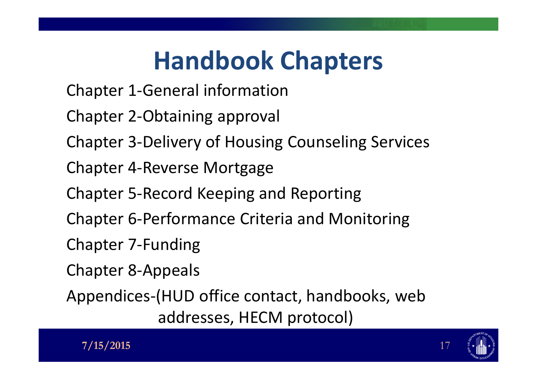## **Handbook Chapters**

- Chapter 1-General information
- Chapter 2-Obtaining approval
- Chapter 3-Delivery of Housing Counseling Services
- Chapter 4-Reverse Mortgage
- Chapter 5-Record Keeping and Reporting
- Chapter 6-Performance Criteria and Monitoring
- Chapter 7-Funding
- Chapter 8-Appeals
- Appendices-(HUD office contact, handbooks, web addresses, HECM protocol)



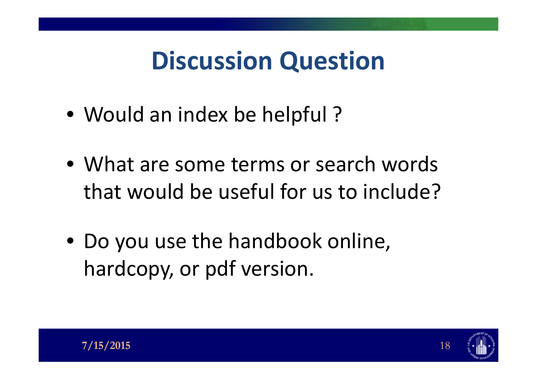## **Discussion Question**

- Would an index be helpful?
- What are some terms or search words that would be useful for us to include?
- Do you use the handbook online, hardcopy, or pdf version.

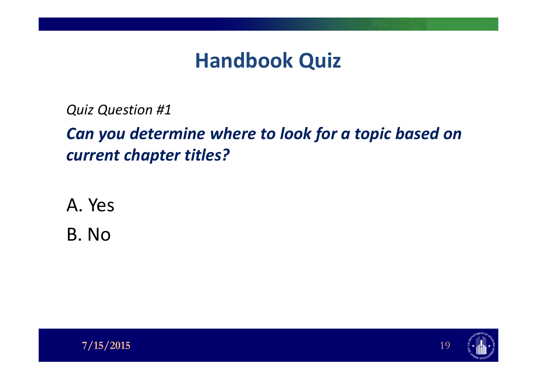### **Handbook Quiz**

*Quiz Question #1*

*Can you determine where to look for a topic based on current chapter titles?*

A. Yes

B. No



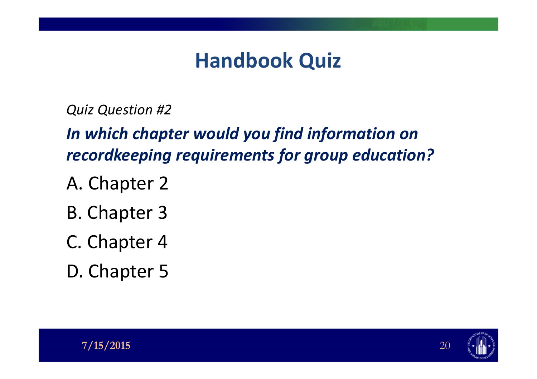### **Handbook Quiz**

*Quiz Question #2*

*In which chapter would you find information on recordkeeping requirements for group education?*

- A. Chapter 2
- B. Chapter 3
- C. Chapter 4
- D. Chapter 5



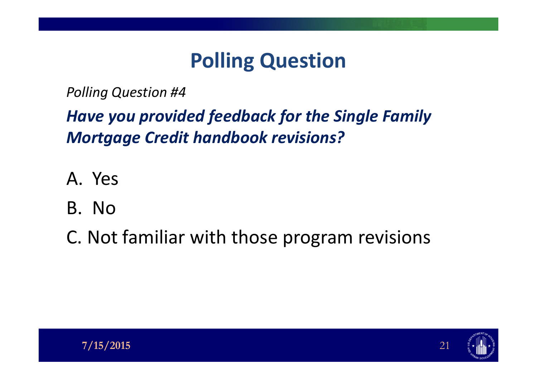### **Polling Question**

*Polling Question #4*

#### *Have you provided feedback for the Single Family Mortgage Credit handbook revisions?*

- A. Yes
- B. No

C. Not familiar with those program revisions

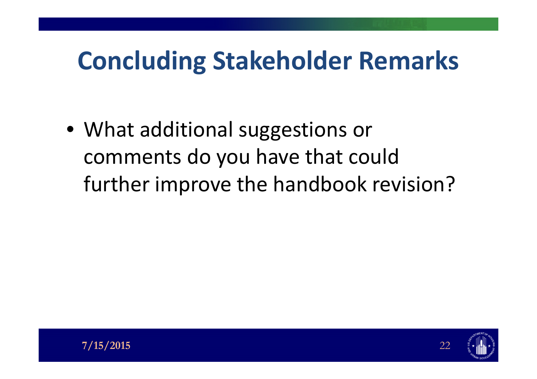## **Concluding Stakeholder Remarks**

• What additional suggestions or comments do you have that could further improve the handbook revision?

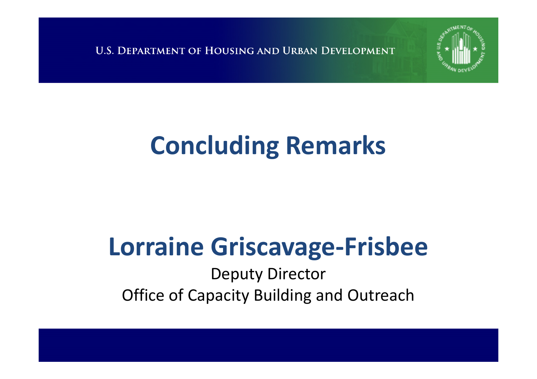

## **Concluding Remarks**

## **Lorraine Griscavage-Frisbee**

Deputy Director Office of Capacity Building and Outreach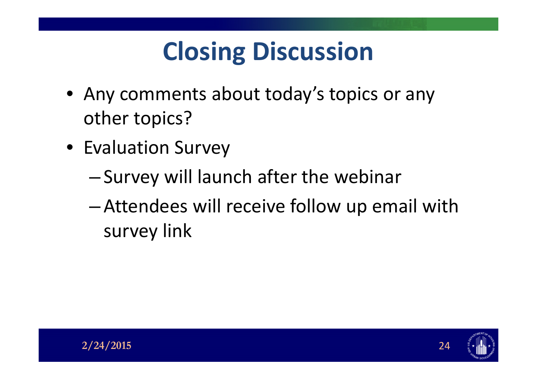## **Closing Discussion**

- Any comments about today's topics or any other topics?
- Evaluation Survey
	- Survey will launch after the webinar
	- Attendees will receive follow up email with survey link